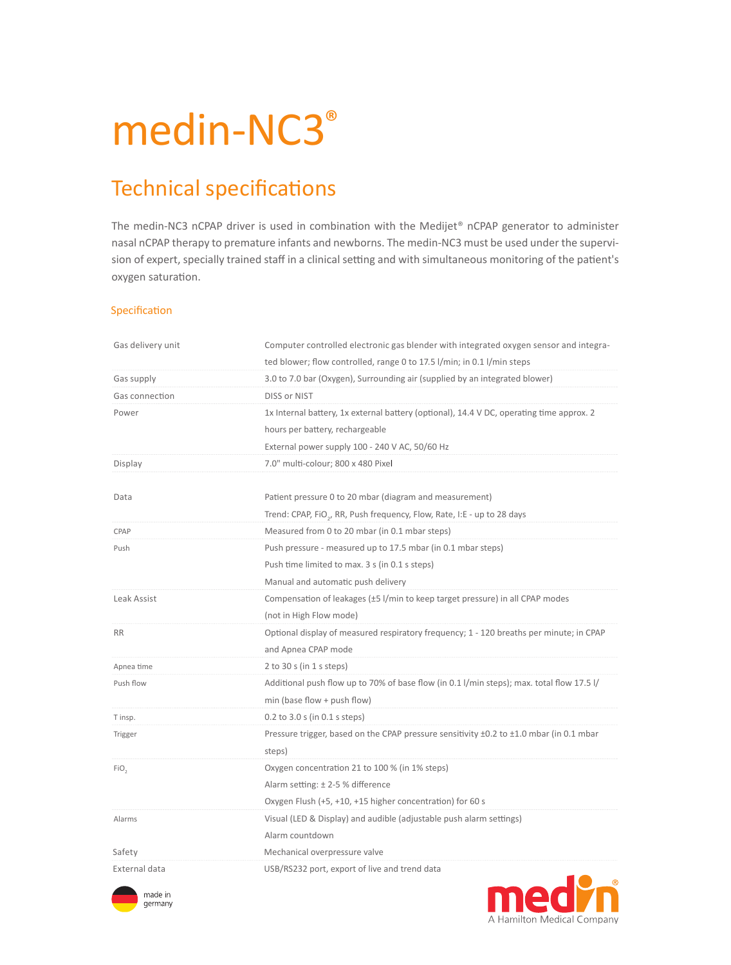# medin-NC3<sup>®</sup>

# Technical specifications

The medin-NC3 nCPAP driver is used in combination with the Medijet® nCPAP generator to administer nasal nCPAP therapy to premature infants and newborns. The medin-NC3 must be used under the supervision of expert, specially trained staff in a clinical setting and with simultaneous monitoring of the patient's oxygen saturation.

#### Specification

| Gas delivery unit | Computer controlled electronic gas blender with integrated oxygen sensor and integra-     |
|-------------------|-------------------------------------------------------------------------------------------|
|                   | ted blower; flow controlled, range 0 to 17.5 l/min; in 0.1 l/min steps                    |
| Gas supply        | 3.0 to 7.0 bar (Oxygen), Surrounding air (supplied by an integrated blower)               |
| Gas connection    | DISS or NIST                                                                              |
| Power             | 1x Internal battery, 1x external battery (optional), 14.4 V DC, operating time approx. 2  |
|                   | hours per battery, rechargeable                                                           |
|                   | External power supply 100 - 240 V AC, 50/60 Hz                                            |
| Display           | 7.0" multi-colour; 800 x 480 Pixel                                                        |
|                   |                                                                                           |
| Data              | Patient pressure 0 to 20 mbar (diagram and measurement)                                   |
|                   | Trend: CPAP, FiO <sub>2</sub> , RR, Push frequency, Flow, Rate, I:E - up to 28 days       |
| CPAP              | Measured from 0 to 20 mbar (in 0.1 mbar steps)                                            |
| Push              | Push pressure - measured up to 17.5 mbar (in 0.1 mbar steps)                              |
|                   | Push time limited to max. 3 s (in 0.1 s steps)                                            |
|                   | Manual and automatic push delivery                                                        |
| Leak Assist       | Compensation of leakages (±5 l/min to keep target pressure) in all CPAP modes             |
|                   | (not in High Flow mode)                                                                   |
| <b>RR</b>         | Optional display of measured respiratory frequency; 1 - 120 breaths per minute; in CPAP   |
|                   | and Apnea CPAP mode                                                                       |
| Apnea time        | 2 to 30 s (in $1$ s steps)                                                                |
| Push flow         | Additional push flow up to 70% of base flow (in 0.1 l/min steps); max. total flow 17.5 l/ |
|                   | min (base flow $+$ push flow)                                                             |
| T insp.           | $0.2$ to $3.0$ s (in $0.1$ s steps)                                                       |
| Trigger           | Pressure trigger, based on the CPAP pressure sensitivity ±0.2 to ±1.0 mbar (in 0.1 mbar   |
|                   | steps)                                                                                    |
| FiO <sub>2</sub>  | Oxygen concentration 21 to 100 % (in 1% steps)                                            |
|                   | Alarm setting: $\pm$ 2-5 % difference                                                     |
|                   | Oxygen Flush (+5, +10, +15 higher concentration) for 60 s                                 |
| Alarms            | Visual (LED & Display) and audible (adjustable push alarm settings)                       |
|                   | Alarm countdown                                                                           |
| Safety            | Mechanical overpressure valve                                                             |
| External data     | USB/RS232 port, export of live and trend data                                             |



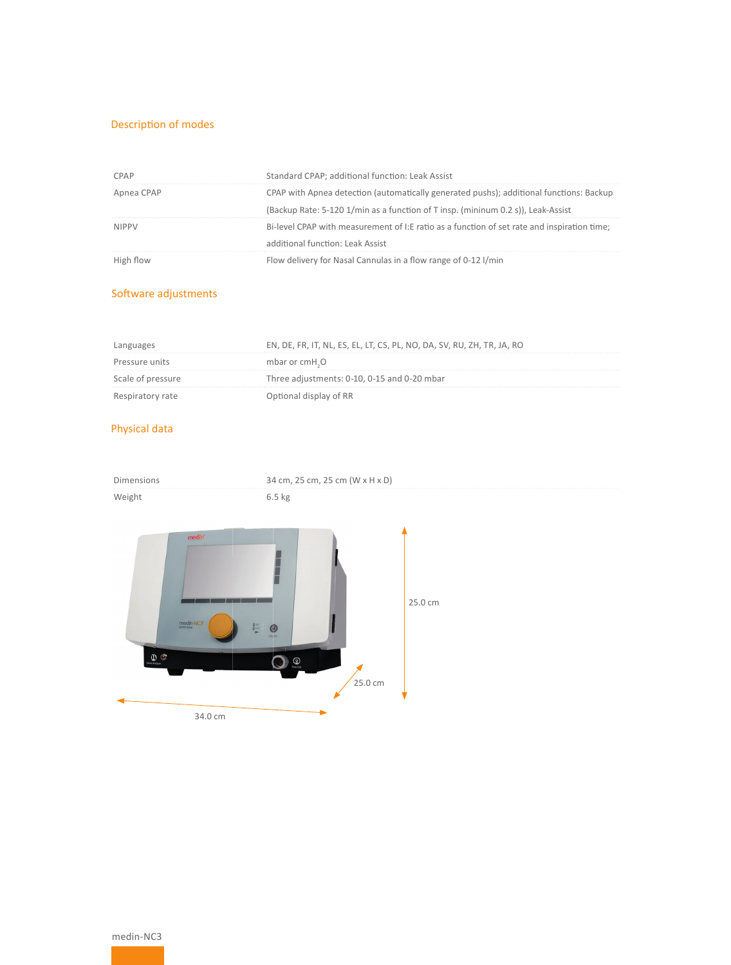# Description of modes

| CPAP         | Standard CPAP; additional function: Leak Assist                                             |
|--------------|---------------------------------------------------------------------------------------------|
| Apnea CPAP   | CPAP with Apnea detection (automatically generated pushs); additional functions: Backup     |
|              | (Backup Rate: 5-120 1/min as a function of T insp. (mininum 0.2 s)), Leak-Assist            |
| <b>NIPPV</b> | Bi-level CPAP with measurement of I:E ratio as a function of set rate and inspiration time; |
|              | additional function: Leak Assist                                                            |
| High flow    | Flow delivery for Nasal Cannulas in a flow range of 0-12 l/min                              |

### Software adjustments

| Languages         | EN, DE, FR, IT, NL, ES, EL, LT, CS, PL, NO, DA, SV, RU, ZH, TR, JA, RO |
|-------------------|------------------------------------------------------------------------|
| Pressure units    | mbar or cmH <sub>2</sub> O                                             |
| Scale of pressure | Three adjustments: 0-10, 0-15 and 0-20 mbar                            |
| Respiratory rate  | Optional display of RR                                                 |

# Physical data

| Dimensions                                                                                                         | 34 cm, 25 cm, 25 cm (W x H x D)                                                |  |
|--------------------------------------------------------------------------------------------------------------------|--------------------------------------------------------------------------------|--|
| Weight                                                                                                             | $6.5$ kg                                                                       |  |
| medin<br>$medin-NC3'$<br>$\frac{g_{\rm{int}}}{g_{\rm{ext}}}$<br>$\bigoplus_{\text{vector}}\bigoplus_{\text{over}}$ | 25.0 cm<br>$\circledcirc$<br>ONOTE<br>$\bigotimes_{\text{Row Out}}$<br>25.0 cm |  |
| 34.0 cm                                                                                                            |                                                                                |  |